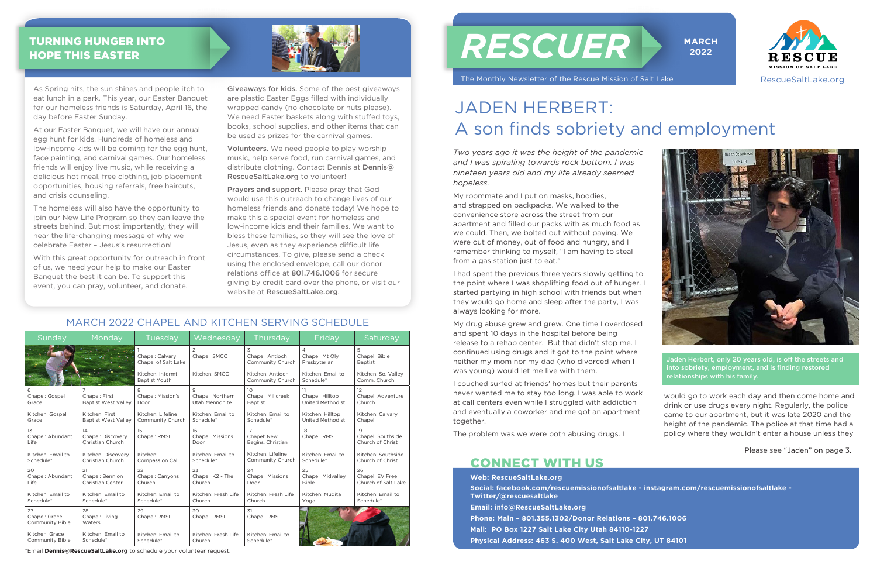| Sunday                                   | Monday                                       | Tuesday                                   | Wednesday                               | Thursday                                               | Friday                                           | Saturday                                     |
|------------------------------------------|----------------------------------------------|-------------------------------------------|-----------------------------------------|--------------------------------------------------------|--------------------------------------------------|----------------------------------------------|
|                                          |                                              | Chapel: Calvary<br>Chapel of Salt Lake    | $\overline{2}$<br>Chapel: SMCC          | 3<br>Chapel: Antioch<br>Community Church               | $\overline{4}$<br>Chapel: Mt Olv<br>Presbyterian | 5<br>Chapel: Bible<br><b>Baptist</b>         |
|                                          |                                              | Kitchen: Intermt.<br><b>Baptist Youth</b> | Kitchen: SMCC                           | Kitchen: Antioch<br>Community Church                   | Kitchen: Email to<br>Schedule*                   | Kitchen: So. Valley<br>Comm. Church          |
| Chapel: Gospel<br>Grace                  | Chapel: First<br><b>Baptist West Valley</b>  | 8<br>Chapel: Mission's<br>Door            | 9<br>Chapel: Northern<br>Utah Mennonite | 10 <sup>°</sup><br>Chapel: Millcreek<br><b>Baptist</b> | 11<br>Chapel: Hilltop<br><b>United Methodist</b> | 12<br>Chapel: Adventure<br>Church            |
| Kitchen: Gospel<br>Grace                 | Kitchen: First<br><b>Baptist West Valley</b> | Kitchen: Lifeline<br>Community Church     | Kitchen: Email to<br>Schedule*          | Kitchen: Email to<br>Schedule*                         | Kitchen: Hilltop<br><b>United Methodist</b>      | Kitchen: Calvary<br>Chapel                   |
| 13<br>Chapel: Abundant<br>Life           | 14<br>Chapel: Discovery<br>Christian Church  | 15<br>Chapel: RMSL                        | 16<br><b>Chapel: Missions</b><br>Door   | 17<br>Chapel: New<br>Begins. Christian                 | 18<br>Chapel: RMSL                               | 19<br>Chapel: Southside<br>Church of Christ  |
| Kitchen: Email to<br>Schedule*           | Kitchen: Discovery<br>Christian Church       | Kitchen:<br><b>Compassion Call</b>        | Kitchen: Email to<br>Schedule*          | Kitchen: Lifeline<br>Community Church                  | Kitchen: Email to<br>Schedule*                   | Kitchen: Southside<br>Church of Christ       |
| 20<br>Chapel: Abundant<br>Life           | 21<br>Chapel: Bennion<br>Christian Center    | 22<br>Chapel: Canyons<br>Church           | 23<br>Chapel: K2 - The<br>Church        | 24<br><b>Chapel: Missions</b><br>Door                  | 25<br>Chapel: Midvalley<br><b>Bible</b>          | 26<br>Chapel: EV Free<br>Church of Salt Lake |
| Kitchen: Email to<br>Schedule*           | Kitchen: Email to<br>Schedule*               | Kitchen: Email to<br>Schedule*            | Kitchen: Fresh Life<br>Church           | Kitchen: Fresh Life<br>Church                          | Kitchen: Mudita<br>Yoga                          | Kitchen: Email to<br>Schedule*               |
| 27<br>Chapel: Grace<br>Community Bible   | 28<br>Chapel: Living<br>Waters               | 29<br>Chapel: RMSL                        | 30<br>Chapel: RMSL                      | 31<br>Chapel: RMSL                                     |                                                  |                                              |
| Kitchen: Grace<br><b>Community Bible</b> | Kitchen: Email to<br>Schedule*               | Kitchen: Email to<br>Schedule*            | Kitchen: Fresh Life<br>Church           | Kitchen: Email to<br>Schedule*                         |                                                  |                                              |

*Two years ago it was the height of the pandemic and I was spiraling towards rock bottom. I was nineteen years old and my life already seemed hopeless.* 

My roommate and I put on masks, hoodies, and strapped on backpacks. We walked to the convenience store across the street from our apartment and filled our packs with as much food as we could. Then, we bolted out without paying. We were out of money, out of food and hungry, and I remember thinking to myself, "I am having to steal from a gas station just to eat."

I had spent the previous three years slowly getting to the point where I was shoplifting food out of hunger. I started partying in high school with friends but when they would go home and sleep after the party, I was always looking for more.

My drug abuse grew and grew. One time I overdosed and spent 10 days in the hospital before being release to a rehab center. But that didn't stop me. I continued using drugs and it got to the point where neither my mom nor my dad (who divorced when I was young) would let me live with them.

I couched surfed at friends' homes but their parents never wanted me to stay too long. I was able to work at call centers even while I struggled with addiction and eventually a coworker and me got an apartment together.

The problem was we were both abusing drugs. I

would go to work each day and then come home and drink or use drugs every night. Regularly, the police came to our apartment, but it was late 2020 and the height of the pandemic. The police at that time had a policy where they wouldn't enter a house unless they

# JADEN HERBERT: A son finds sobriety and employment

As Spring hits, the sun shines and people itch to eat lunch in a park. This year, our Easter Banquet for our homeless friends is Saturday, April 16, the day before Easter Sunday.

At our Easter Banquet, we will have our annual egg hunt for kids. Hundreds of homeless and low-income kids will be coming for the egg hunt, face painting, and carnival games. Our homeless friends will enjoy live music, while receiving a delicious hot meal, free clothing, job placement opportunities, housing referrals, free haircuts, and crisis counseling.

The homeless will also have the opportunity to join our New Life Program so they can leave the streets behind. But most importantly, they will hear the life-changing message of why we celebrate Easter – Jesus's resurrection!

With this great opportunity for outreach in front of us, we need your help to make our Easter Banquet the best it can be. To support this event, you can pray, volunteer, and donate.

# *RESCUER*

The Monthly Newsletter of the Rescue Mission of Salt Lake







#### MARCH 2022 CHAPEL AND KITCHEN SERVING SCHEDULE

Please see "Jaden" on page 3.

Jaden Herbert, only 20 years old, is off the streets and into sobriety, employment, and is finding restored relationships with his family.

#### TURNING HUNGER INTO HOPE THIS EASTER



\*Email **Dennis@RescueSaltLake.org** to schedule your volunteer request.

Giveaways for kids. Some of the best giveaways are plastic Easter Eggs filled with individually wrapped candy (no chocolate or nuts please). We need Easter baskets along with stuffed toys, books, school supplies, and other items that can be used as prizes for the carnival games.

Volunteers. We need people to play worship music, help serve food, run carnival games, and distribute clothing. Contact Dennis at Dennis@ RescueSaltLake.org to volunteer!

Prayers and support. Please pray that God would use this outreach to change lives of our homeless friends and donate today! We hope to make this a special event for homeless and low-income kids and their families. We want to bless these families, so they will see the love of Jesus, even as they experience difficult life circumstances. To give, please send a check using the enclosed envelope, call our donor relations office at 801.746.1006 for secure giving by credit card over the phone, or visit our website at RescueSaltLake.org.

> **Web: RescueSaltLake.org Social: facebook.com/rescuemissionofsaltlake - instagram.com/rescuemissionofsaltlake - Twitter/@rescuesaltlake Email: info@RescueSaltLake.org Phone: Main – 801.355.1302/Donor Relations – 801.746.1006 Mail: PO Box 1227 Salt Lake City Utah 84110-1227 Physical Address: 463 S. 400 West, Salt Lake City, UT 84101**

## CONNECT WITH US